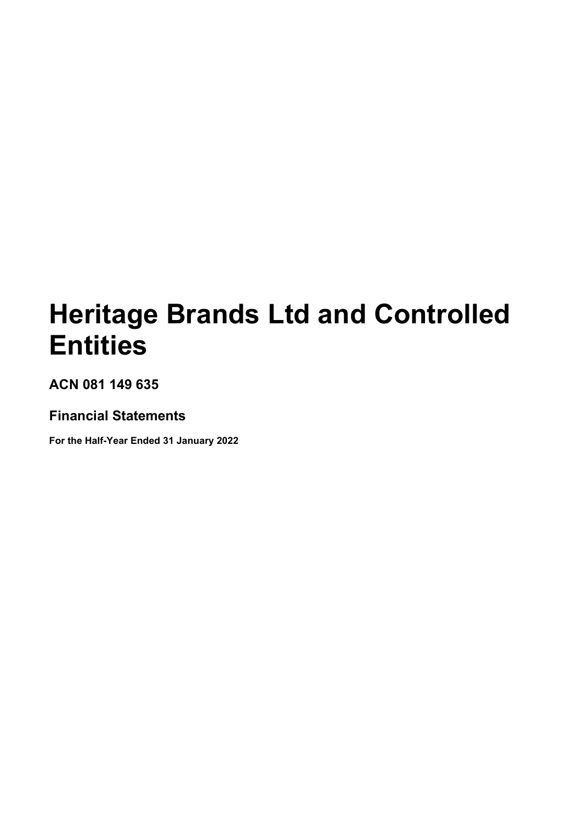# **Heritage Brands Ltd and Controlled Entities**

**ACN 081 149 635**

# **Financial Statements**

**For the Half-Year Ended 31 January 2022**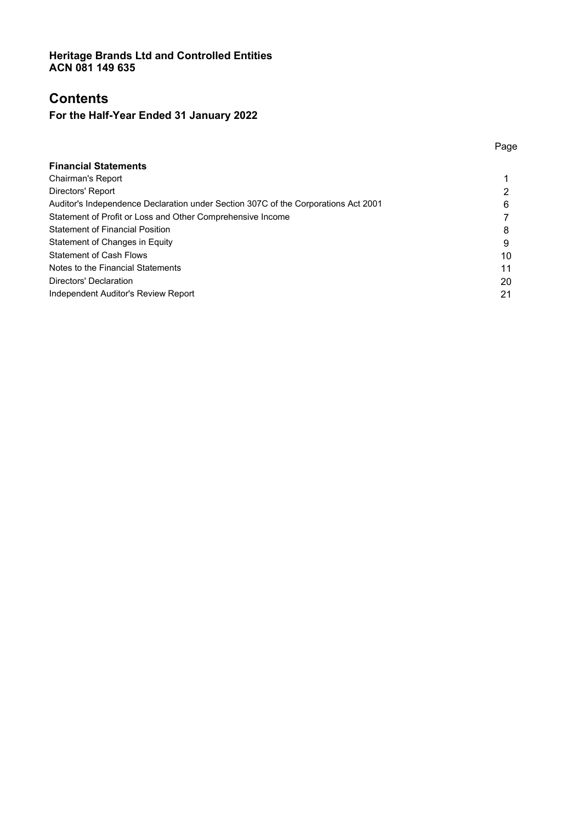# **Contents**

# **For the Half-Year Ended 31 January 2022**

| <b>Financial Statements</b>                                                        |    |
|------------------------------------------------------------------------------------|----|
| Chairman's Report                                                                  |    |
| Directors' Report                                                                  |    |
| Auditor's Independence Declaration under Section 307C of the Corporations Act 2001 | 6  |
| Statement of Profit or Loss and Other Comprehensive Income                         |    |
| <b>Statement of Financial Position</b>                                             | 8  |
| Statement of Changes in Equity                                                     | 9  |
| <b>Statement of Cash Flows</b>                                                     | 10 |
| Notes to the Financial Statements                                                  | 11 |
| Directors' Declaration                                                             | 20 |
| Independent Auditor's Review Report                                                | 21 |
|                                                                                    |    |

### Page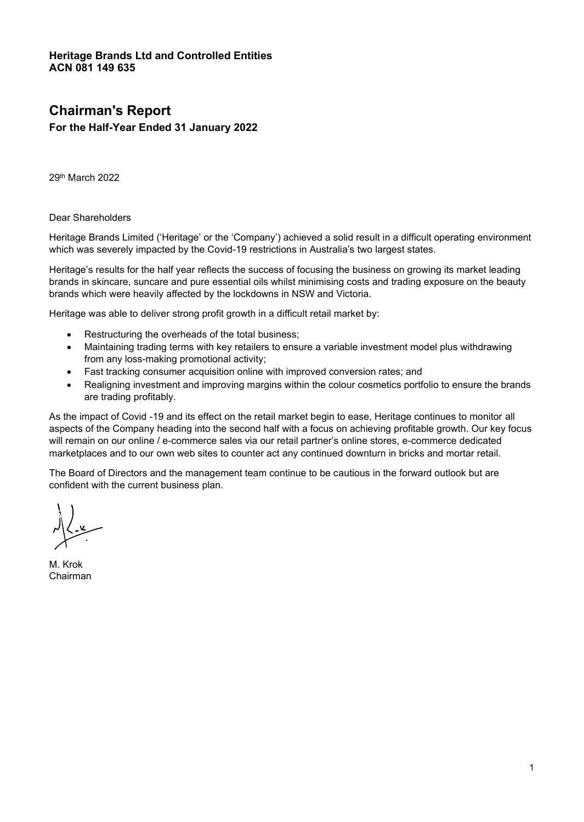# **Chairman's Report**

## **For the Half-Year Ended 31 January 2022**

29th March 2022

Dear Shareholders

Heritage Brands Limited ('Heritage' or the 'Company') achieved a solid result in a difficult operating environment which was severely impacted by the Covid-19 restrictions in Australia's two largest states.

Heritage's results for the half year reflects the success of focusing the business on growing its market leading brands in skincare, suncare and pure essential oils whilst minimising costs and trading exposure on the beauty brands which were heavily affected by the lockdowns in NSW and Victoria.

Heritage was able to deliver strong profit growth in a difficult retail market by:

- Restructuring the overheads of the total business;
- Maintaining trading terms with key retailers to ensure a variable investment model plus withdrawing from any loss-making promotional activity;
- Fast tracking consumer acquisition online with improved conversion rates; and
- Realigning investment and improving margins within the colour cosmetics portfolio to ensure the brands are trading profitably.

As the impact of Covid -19 and its effect on the retail market begin to ease, Heritage continues to monitor all aspects of the Company heading into the second half with a focus on achieving profitable growth. Our key focus will remain on our online / e-commerce sales via our retail partner's online stores, e-commerce dedicated marketplaces and to our own web sites to counter act any continued downturn in bricks and mortar retail.

The Board of Directors and the management team continue to be cautious in the forward outlook but are confident with the current business plan.

M. Krok Chairman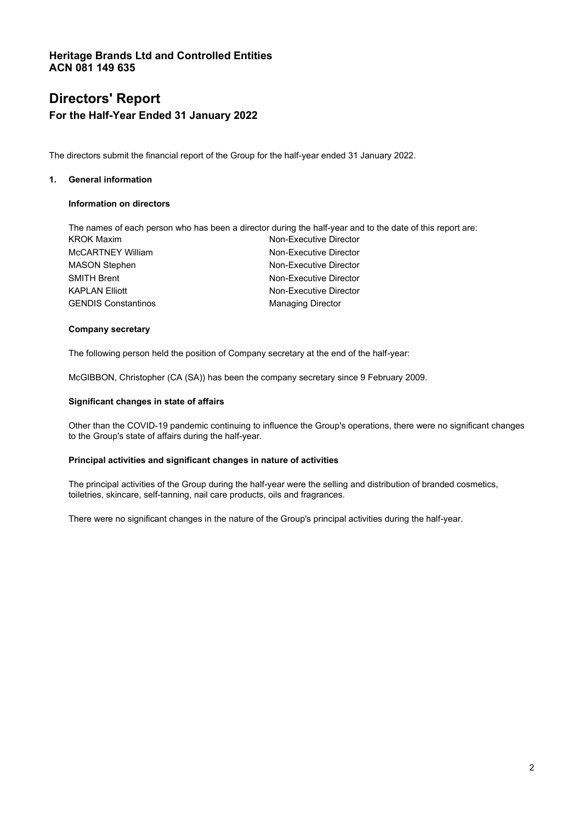# **Directors' Report For the Half-Year Ended 31 January 2022**

The directors submit the financial report of the Group for the half-year ended 31 January 2022.

### **1. General information**

### **Information on directors**

| The names of each person who has been a director during the half-year and to the date of this report are: |
|-----------------------------------------------------------------------------------------------------------|
| Non-Executive Director                                                                                    |
| Non-Executive Director                                                                                    |
| Non-Executive Director                                                                                    |
| Non-Executive Director                                                                                    |
| Non-Executive Director                                                                                    |
| <b>Managing Director</b>                                                                                  |
|                                                                                                           |

### **Company secretary**

The following person held the position of Company secretary at the end of the half-year:

McGIBBON, Christopher (CA (SA)) has been the company secretary since 9 February 2009.

#### **Significant changes in state of affairs**

Other than the COVID-19 pandemic continuing to influence the Group's operations, there were no significant changes to the Group's state of affairs during the half-year.

#### **Principal activities and significant changes in nature of activities**

The principal activities of the Group during the half-year were the selling and distribution of branded cosmetics, toiletries, skincare, self-tanning, nail care products, oils and fragrances.

There were no significant changes in the nature of the Group's principal activities during the half-year.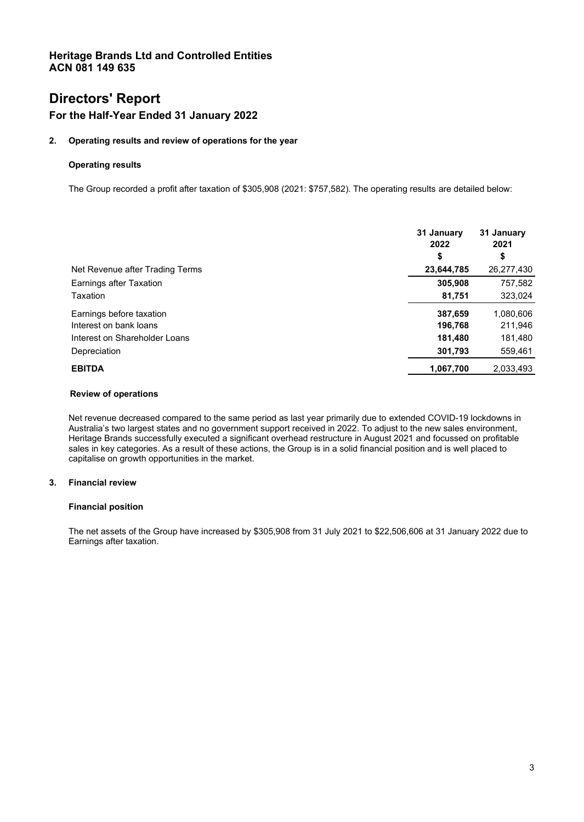# **Directors' Report**

### **For the Half-Year Ended 31 January 2022**

### **2. Operating results and review of operations for the year**

### **Operating results**

The Group recorded a profit after taxation of \$305,908 (2021: \$757,582). The operating results are detailed below:

|                                 | 31 January<br>2022<br>\$ | 31 January<br>2021<br>\$ |
|---------------------------------|--------------------------|--------------------------|
| Net Revenue after Trading Terms | 23,644,785               | 26,277,430               |
| Earnings after Taxation         | 305,908                  | 757,582                  |
| Taxation                        | 81,751                   | 323,024                  |
| Earnings before taxation        | 387,659                  | 1,080,606                |
| Interest on bank loans          | 196,768                  | 211,946                  |
| Interest on Shareholder Loans   | 181,480                  | 181,480                  |
| Depreciation                    | 301,793                  | 559,461                  |
| <b>EBITDA</b>                   | 1,067,700                | 2,033,493                |

#### **Review of operations**

Net revenue decreased compared to the same period as last year primarily due to extended COVID-19 lockdowns in Australia's two largest states and no government support received in 2022. To adjust to the new sales environment, Heritage Brands successfully executed a significant overhead restructure in August 2021 and focussed on profitable sales in key categories. As a result of these actions, the Group is in a solid financial position and is well placed to capitalise on growth opportunities in the market.

### **3. Financial review**

### **Financial position**

The net assets of the Group have increased by \$305,908 from 31 July 2021 to \$22,506,606 at 31 January 2022 due to Earnings after taxation.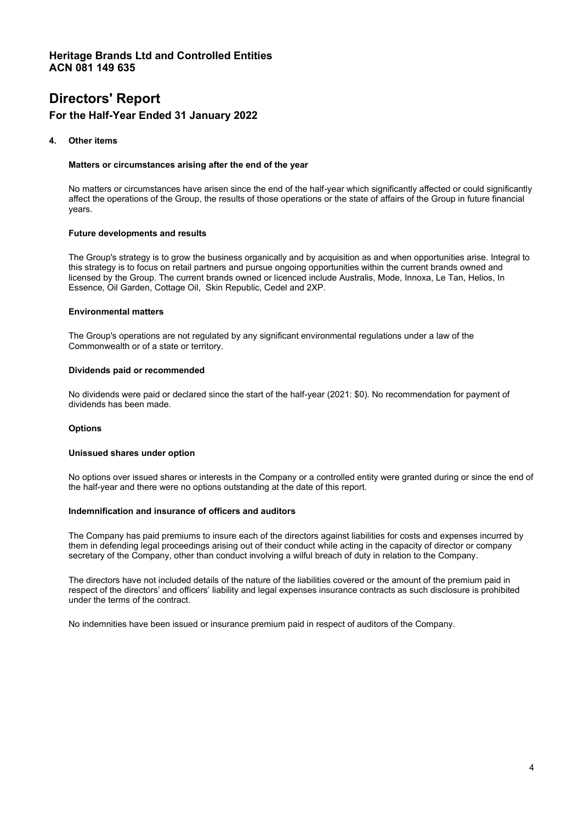# **Directors' Report For the Half-Year Ended 31 January 2022**

#### **4. Other items**

#### **Matters or circumstances arising after the end of the year**

No matters or circumstances have arisen since the end of the half-year which significantly affected or could significantly affect the operations of the Group, the results of those operations or the state of affairs of the Group in future financial years.

#### **Future developments and results**

The Group's strategy is to grow the business organically and by acquisition as and when opportunities arise. Integral to this strategy is to focus on retail partners and pursue ongoing opportunities within the current brands owned and licensed by the Group. The current brands owned or licenced include Australis, Mode, Innoxa, Le Tan, Helios, In Essence, Oil Garden, Cottage Oil, Skin Republic, Cedel and 2XP.

#### **Environmental matters**

The Group's operations are not regulated by any significant environmental regulations under a law of the Commonwealth or of a state or territory.

#### **Dividends paid or recommended**

No dividends were paid or declared since the start of the half-year (2021: \$0). No recommendation for payment of dividends has been made.

### **Options**

#### **Unissued shares under option**

No options over issued shares or interests in the Company or a controlled entity were granted during or since the end of the half-year and there were no options outstanding at the date of this report.

#### **Indemnification and insurance of officers and auditors**

The Company has paid premiums to insure each of the directors against liabilities for costs and expenses incurred by them in defending legal proceedings arising out of their conduct while acting in the capacity of director or company secretary of the Company, other than conduct involving a wilful breach of duty in relation to the Company.

The directors have not included details of the nature of the liabilities covered or the amount of the premium paid in respect of the directors' and officers' liability and legal expenses insurance contracts as such disclosure is prohibited under the terms of the contract.

No indemnities have been issued or insurance premium paid in respect of auditors of the Company.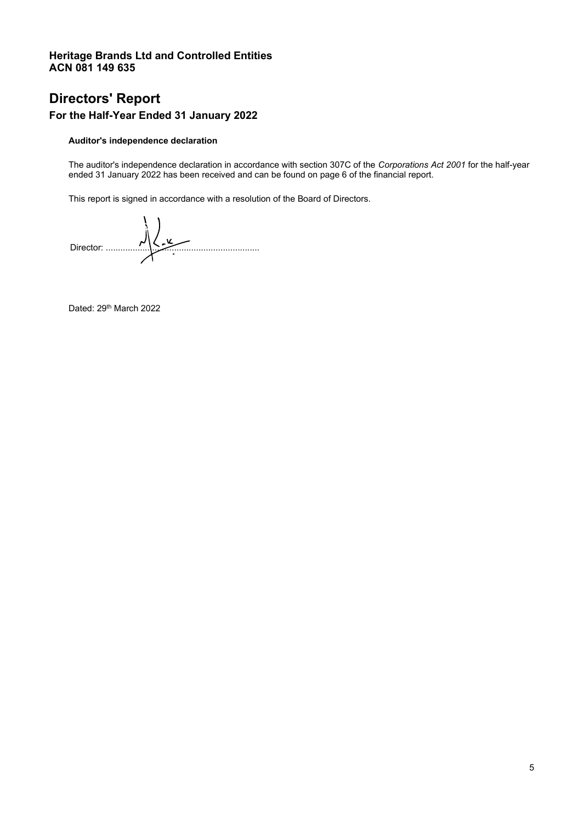# **Directors' Report**

# **For the Half-Year Ended 31 January 2022**

### **Auditor's independence declaration**

The auditor's independence declaration in accordance with section 307C of the *Corporations Act 2001* for the half-year ended 31 January 2022 has been received and can be found on page 6 of the financial report.

This report is signed in accordance with a resolution of the Board of Directors.

 $D$ 

Dated: 29<sup>th</sup> March 2022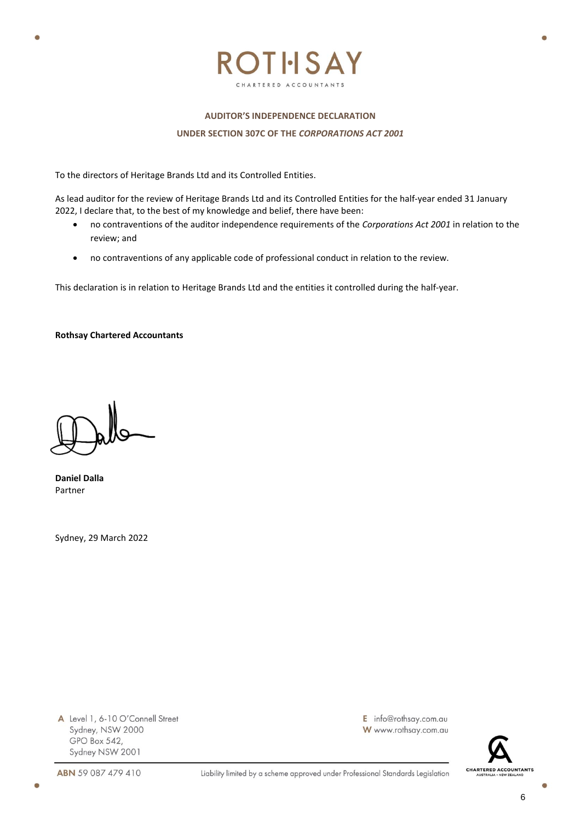

# **AUDITOR'S INDEPENDENCE DECLARATION UNDER SECTION 307C OF THE** *CORPORATIONS ACT 2001*

To the directors of Heritage Brands Ltd and its Controlled Entities.

As lead auditor for the review of Heritage Brands Ltd and its Controlled Entities for the half-year ended 31 January 2022, I declare that, to the best of my knowledge and belief, there have been:

- no contraventions of the auditor independence requirements of the *Corporations Act 2001* in relation to the review; and
- no contraventions of any applicable code of professional conduct in relation to the review.

This declaration is in relation to Heritage Brands Ltd and the entities it controlled during the half-year.

**Rothsay Chartered Accountants**

**Daniel Dalla** Partner

¢

Sydney, 29 March 2022

A Level 1, 6-10 O'Connell Street Sydney, NSW 2000 GPO Box 542, Sydney NSW 2001

E info@rothsay.com.au W www.rothsay.com.au



 $\epsilon$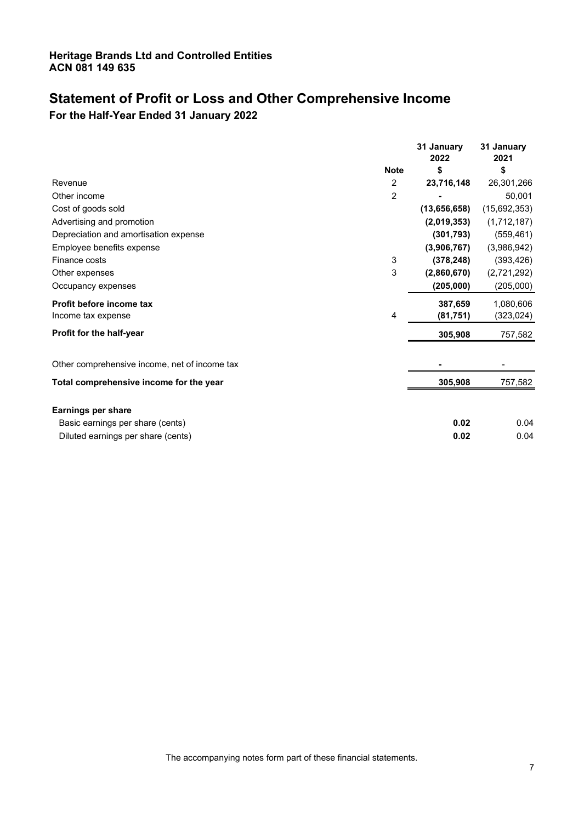# **Statement of Profit or Loss and Other Comprehensive Income**

**For the Half-Year Ended 31 January 2022** 

|                                               |             | 31 January<br>2022 | 31 January<br>2021 |
|-----------------------------------------------|-------------|--------------------|--------------------|
|                                               | <b>Note</b> | \$                 | \$                 |
| Revenue                                       | 2           | 23,716,148         | 26,301,266         |
| Other income                                  | 2           |                    | 50,001             |
| Cost of goods sold                            |             | (13,656,658)       | (15,692,353)       |
| Advertising and promotion                     |             | (2,019,353)        | (1,712,187)        |
| Depreciation and amortisation expense         |             | (301, 793)         | (559, 461)         |
| Employee benefits expense                     |             | (3,906,767)        | (3,986,942)        |
| Finance costs                                 | 3           | (378, 248)         | (393, 426)         |
| Other expenses                                | 3           | (2,860,670)        | (2,721,292)        |
| Occupancy expenses                            |             | (205,000)          | (205,000)          |
| Profit before income tax                      |             | 387,659            | 1,080,606          |
| Income tax expense                            | 4           | (81,751)           | (323, 024)         |
| Profit for the half-year                      |             | 305,908            | 757,582            |
| Other comprehensive income, net of income tax |             |                    |                    |
| Total comprehensive income for the year       |             | 305,908            | 757,582            |
| <b>Earnings per share</b>                     |             |                    |                    |
| Basic earnings per share (cents)              |             | 0.02               | 0.04               |
| Diluted earnings per share (cents)            |             | 0.02               | 0.04               |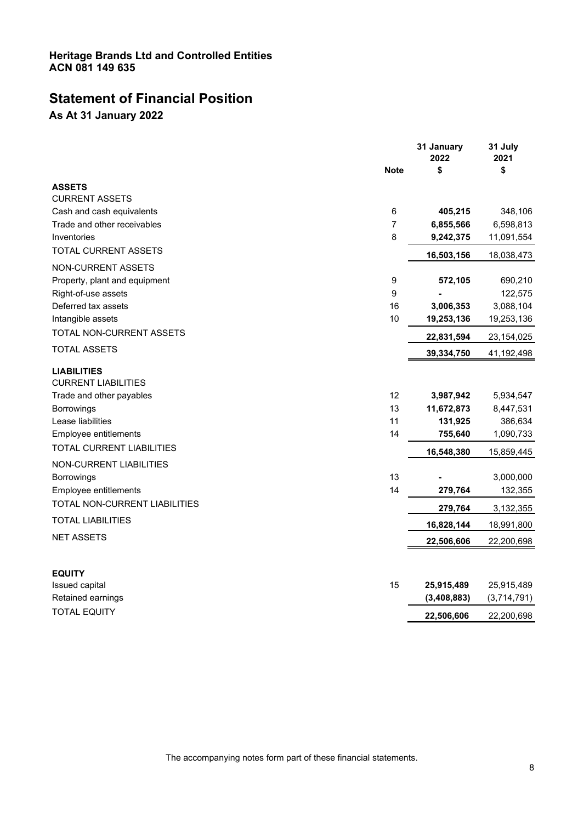# **Statement of Financial Position**

**As At 31 January 2022**

|                                                  | <b>Note</b> | 31 January<br>2022<br>\$ | 31 July<br>2021<br>\$ |
|--------------------------------------------------|-------------|--------------------------|-----------------------|
| <b>ASSETS</b>                                    |             |                          |                       |
| <b>CURRENT ASSETS</b>                            |             |                          |                       |
| Cash and cash equivalents                        | 6           | 405,215                  | 348,106               |
| Trade and other receivables                      | 7           | 6,855,566                | 6,598,813             |
| Inventories                                      | 8           | 9,242,375                | 11,091,554            |
| TOTAL CURRENT ASSETS                             |             | 16,503,156               | 18,038,473            |
| <b>NON-CURRENT ASSETS</b>                        |             |                          |                       |
| Property, plant and equipment                    | 9           | 572,105                  | 690,210               |
| Right-of-use assets                              | 9           |                          | 122,575               |
| Deferred tax assets                              | 16          | 3,006,353                | 3,088,104             |
| Intangible assets                                | 10          | 19,253,136               | 19,253,136            |
| TOTAL NON-CURRENT ASSETS                         |             | 22,831,594               | 23,154,025            |
| TOTAL ASSETS                                     |             | 39,334,750               | 41,192,498            |
| <b>LIABILITIES</b><br><b>CURRENT LIABILITIES</b> |             |                          |                       |
| Trade and other payables                         | 12          | 3,987,942                | 5,934,547             |
| <b>Borrowings</b>                                | 13          | 11,672,873               | 8,447,531             |
| Lease liabilities                                | 11          | 131,925                  | 386,634               |
| Employee entitlements                            | 14          | 755,640                  | 1,090,733             |
| <b>TOTAL CURRENT LIABILITIES</b>                 |             | 16,548,380               | 15,859,445            |
| NON-CURRENT LIABILITIES                          |             |                          |                       |
| <b>Borrowings</b>                                | 13          |                          | 3,000,000             |
| Employee entitlements                            | 14          | 279,764                  | 132,355               |
| TOTAL NON-CURRENT LIABILITIES                    |             | 279,764                  | 3,132,355             |
| <b>TOTAL LIABILITIES</b>                         |             | 16,828,144               | 18,991,800            |
| <b>NET ASSETS</b>                                |             | 22,506,606               | 22,200,698            |
|                                                  |             |                          |                       |
| <b>EQUITY</b>                                    |             |                          |                       |
| Issued capital                                   | 15          | 25,915,489               | 25,915,489            |
| Retained earnings                                |             | (3,408,883)              | (3,714,791)           |
| <b>TOTAL EQUITY</b>                              |             | 22,506,606               | 22,200,698            |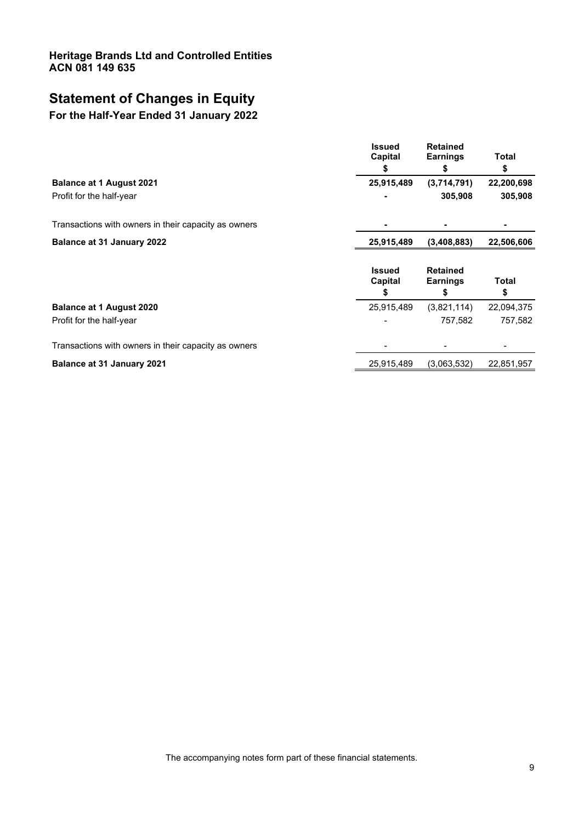# **Statement of Changes in Equity**

# **For the Half-Year Ended 31 January 2022**

| <b>Issued</b><br>Capital<br>5 | <b>Retained</b><br><b>Earnings</b><br>\$ | <b>Total</b><br>\$ |
|-------------------------------|------------------------------------------|--------------------|
| 25,915,489                    | (3,714,791)                              | 22,200,698         |
|                               | 305,908                                  | 305,908            |
|                               |                                          |                    |
| 25,915,489                    | (3,408,883)                              | 22,506,606         |
|                               |                                          |                    |
| <b>Issued</b><br>Capital<br>S | <b>Retained</b><br><b>Earnings</b><br>S  | Total<br>\$        |
| 25,915,489                    | (3,821,114)                              | 22,094,375         |
|                               | 757,582                                  | 757,582            |
|                               |                                          |                    |
|                               |                                          |                    |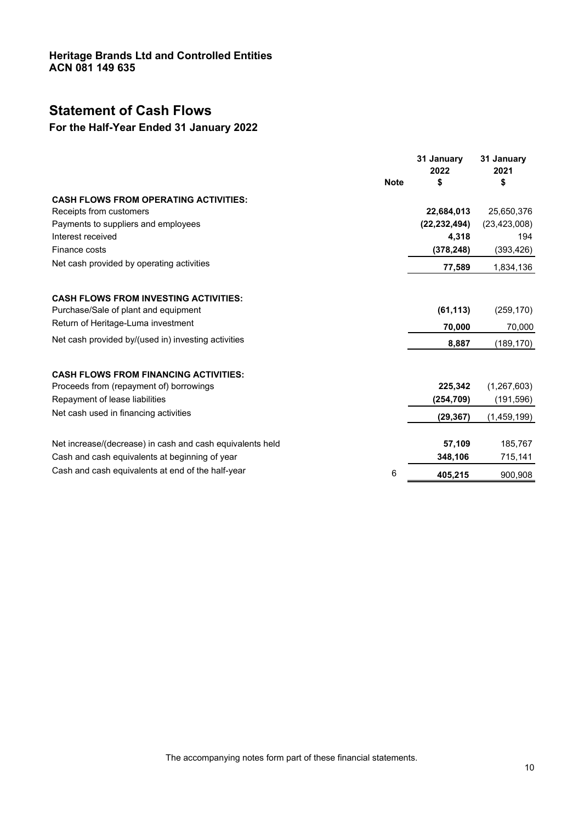# **Statement of Cash Flows**

# **For the Half-Year Ended 31 January 2022**

|                                                           | <b>Note</b> | 31 January<br>2022<br>\$ | 31 January<br>2021<br>\$ |
|-----------------------------------------------------------|-------------|--------------------------|--------------------------|
|                                                           |             |                          |                          |
| <b>CASH FLOWS FROM OPERATING ACTIVITIES:</b>              |             |                          |                          |
| Receipts from customers                                   |             | 22,684,013               | 25,650,376               |
| Payments to suppliers and employees                       |             | (22, 232, 494)           | (23, 423, 008)           |
| Interest received                                         |             | 4,318                    | 194                      |
| Finance costs                                             |             | (378, 248)               | (393, 426)               |
| Net cash provided by operating activities                 |             | 77,589                   | 1,834,136                |
|                                                           |             |                          |                          |
| <b>CASH FLOWS FROM INVESTING ACTIVITIES:</b>              |             |                          |                          |
| Purchase/Sale of plant and equipment                      |             | (61, 113)                | (259, 170)               |
| Return of Heritage-Luma investment                        |             | 70,000                   | 70,000                   |
| Net cash provided by/(used in) investing activities       |             | 8,887                    | (189,170)                |
| <b>CASH FLOWS FROM FINANCING ACTIVITIES:</b>              |             |                          |                          |
| Proceeds from (repayment of) borrowings                   |             | 225,342                  | (1, 267, 603)            |
| Repayment of lease liabilities                            |             | (254, 709)               | (191, 596)               |
| Net cash used in financing activities                     |             | (29, 367)                | (1,459,199)              |
|                                                           |             |                          |                          |
| Net increase/(decrease) in cash and cash equivalents held |             | 57,109                   | 185,767                  |
| Cash and cash equivalents at beginning of year            |             | 348,106                  | 715,141                  |
| Cash and cash equivalents at end of the half-year         | 6           | 405,215                  | 900,908                  |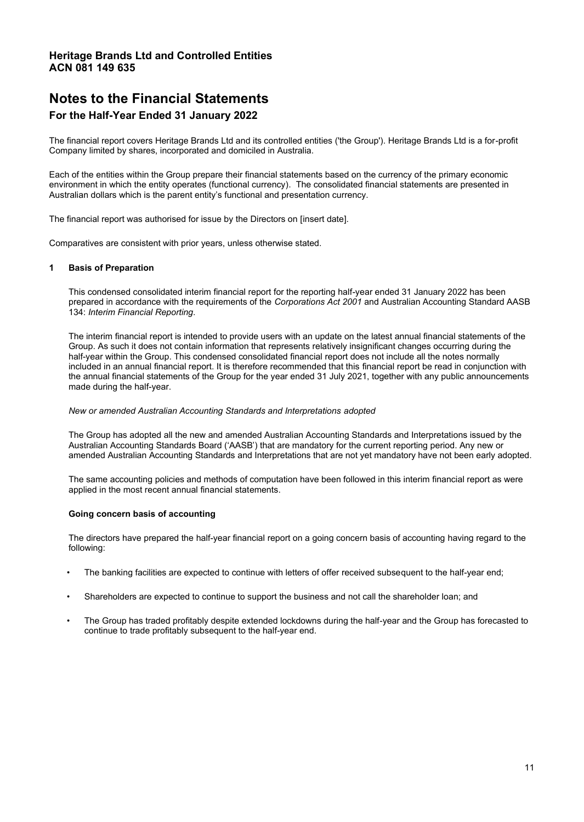# **Notes to the Financial Statements**

### **For the Half-Year Ended 31 January 2022**

The financial report covers Heritage Brands Ltd and its controlled entities ('the Group'). Heritage Brands Ltd is a for-profit Company limited by shares, incorporated and domiciled in Australia.

Each of the entities within the Group prepare their financial statements based on the currency of the primary economic environment in which the entity operates (functional currency). The consolidated financial statements are presented in Australian dollars which is the parent entity's functional and presentation currency.

The financial report was authorised for issue by the Directors on [insert date].

Comparatives are consistent with prior years, unless otherwise stated.

#### **1 Basis of Preparation**

This condensed consolidated interim financial report for the reporting half-year ended 31 January 2022 has been prepared in accordance with the requirements of the *Corporations Act 2001* and Australian Accounting Standard AASB 134: *Interim Financial Reporting*.

The interim financial report is intended to provide users with an update on the latest annual financial statements of the Group. As such it does not contain information that represents relatively insignificant changes occurring during the half-year within the Group. This condensed consolidated financial report does not include all the notes normally included in an annual financial report. It is therefore recommended that this financial report be read in conjunction with the annual financial statements of the Group for the year ended 31 July 2021, together with any public announcements made during the half-year.

#### *New or amended Australian Accounting Standards and Interpretations adopted*

The Group has adopted all the new and amended Australian Accounting Standards and Interpretations issued by the Australian Accounting Standards Board ('AASB') that are mandatory for the current reporting period. Any new or amended Australian Accounting Standards and Interpretations that are not yet mandatory have not been early adopted.

The same accounting policies and methods of computation have been followed in this interim financial report as were applied in the most recent annual financial statements.

#### **Going concern basis of accounting**

The directors have prepared the half-year financial report on a going concern basis of accounting having regard to the following:

- The banking facilities are expected to continue with letters of offer received subsequent to the half-year end;
- Shareholders are expected to continue to support the business and not call the shareholder loan; and
- The Group has traded profitably despite extended lockdowns during the half-year and the Group has forecasted to continue to trade profitably subsequent to the half-year end.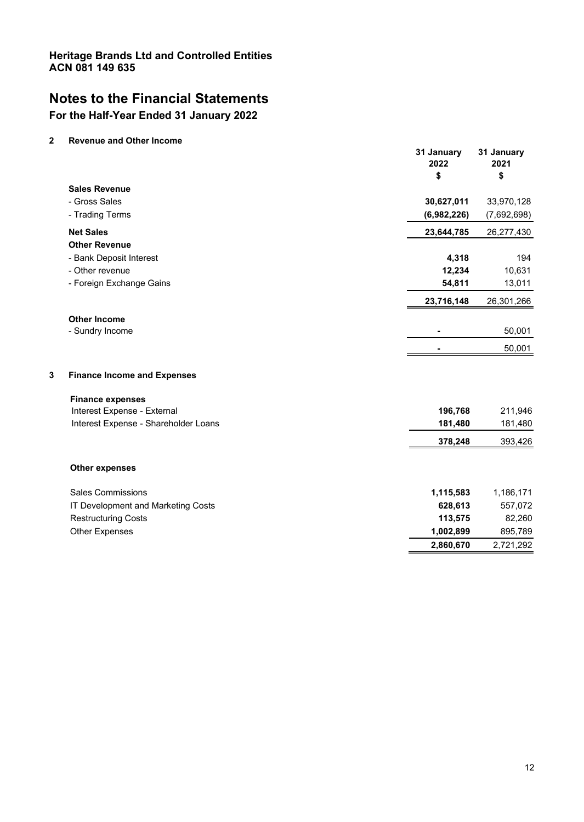# **Notes to the Financial Statements**

# **For the Half-Year Ended 31 January 2022**

### **2 Revenue and Other Income**

|                             |                                      | 31 January<br>2022<br>\$ | 31 January<br>2021<br>\$ |
|-----------------------------|--------------------------------------|--------------------------|--------------------------|
| <b>Sales Revenue</b>        |                                      |                          |                          |
| - Gross Sales               |                                      | 30,627,011               | 33,970,128               |
| - Trading Terms             |                                      | (6,982,226)              | (7,692,698)              |
| <b>Net Sales</b>            |                                      | 23,644,785               | 26,277,430               |
| <b>Other Revenue</b>        |                                      |                          |                          |
| - Bank Deposit Interest     |                                      | 4,318                    | 194                      |
| - Other revenue             |                                      | 12,234                   | 10,631                   |
| - Foreign Exchange Gains    |                                      | 54,811                   | 13,011                   |
|                             |                                      | 23,716,148               | 26,301,266               |
| <b>Other Income</b>         |                                      |                          |                          |
| - Sundry Income             |                                      |                          | 50,001                   |
|                             |                                      |                          | 50,001                   |
| 3                           | <b>Finance Income and Expenses</b>   |                          |                          |
| <b>Finance expenses</b>     |                                      |                          |                          |
| Interest Expense - External |                                      | 196,768                  | 211,946                  |
|                             | Interest Expense - Shareholder Loans | 181,480                  | 181,480                  |
|                             |                                      | 378,248                  | 393,426                  |
| <b>Other expenses</b>       |                                      |                          |                          |
| <b>Sales Commissions</b>    |                                      | 1,115,583                | 1,186,171                |
|                             | IT Development and Marketing Costs   | 628,613                  | 557,072                  |
| <b>Restructuring Costs</b>  |                                      | 113,575                  | 82,260                   |
| <b>Other Expenses</b>       |                                      | 1,002,899                | 895,789                  |
|                             |                                      | 2,860,670                | 2,721,292                |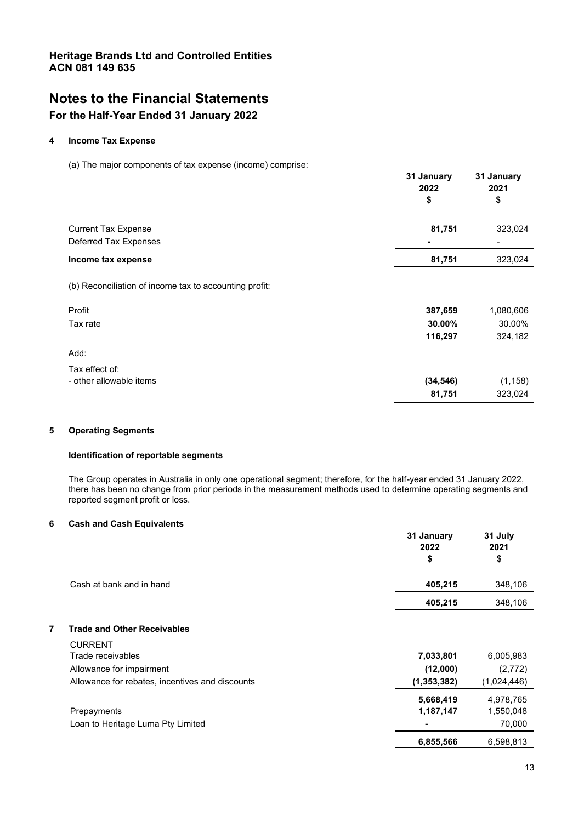# **Notes to the Financial Statements**

# **For the Half-Year Ended 31 January 2022**

### **4 Income Tax Expense**

(a) The major components of tax expense (income) comprise:

| $\sim$                     |  |  | 31 January<br>2022<br>\$ | 31 January<br>2021<br>\$ |
|----------------------------|--|--|--------------------------|--------------------------|
| <b>Current Tax Expense</b> |  |  | 81,751                   | 323,024                  |
| Deferred Tax Expenses      |  |  | $\blacksquare$           | $\overline{\phantom{a}}$ |
| Income tax expense         |  |  | 81,751                   | 323,024                  |
|                            |  |  |                          |                          |

(b) Reconciliation of income tax to accounting profit:

| Profit                  | 387,659   | 1,080,606 |
|-------------------------|-----------|-----------|
| Tax rate                | 30.00%    | 30.00%    |
|                         | 116,297   | 324,182   |
| Add:                    |           |           |
| Tax effect of:          |           |           |
| - other allowable items | (34, 546) | (1, 158)  |
|                         | 81,751    | 323,024   |

### **5 Operating Segments**

### **Identification of reportable segments**

The Group operates in Australia in only one operational segment; therefore, for the half-year ended 31 January 2022, there has been no change from prior periods in the measurement methods used to determine operating segments and reported segment profit or loss.

### **6 Cash and Cash Equivalents**

|   |                                                      | 31 January<br>2022<br>\$ | 31 July<br>2021<br>\$            |
|---|------------------------------------------------------|--------------------------|----------------------------------|
|   | Cash at bank and in hand                             | 405,215                  | 348,106                          |
|   |                                                      | 405,215                  | 348,106                          |
| 7 | <b>Trade and Other Receivables</b><br><b>CURRENT</b> |                          |                                  |
|   | Trade receivables                                    | 7,033,801                | 6,005,983                        |
|   | Allowance for impairment                             | (12,000)                 | (2,772)                          |
|   | Allowance for rebates, incentives and discounts      | (1, 353, 382)            | (1,024,446)                      |
|   | Prepayments<br>Loan to Heritage Luma Pty Limited     | 5,668,419<br>1,187,147   | 4,978,765<br>1,550,048<br>70,000 |
|   |                                                      | 6,855,566                | 6,598,813                        |
|   |                                                      |                          |                                  |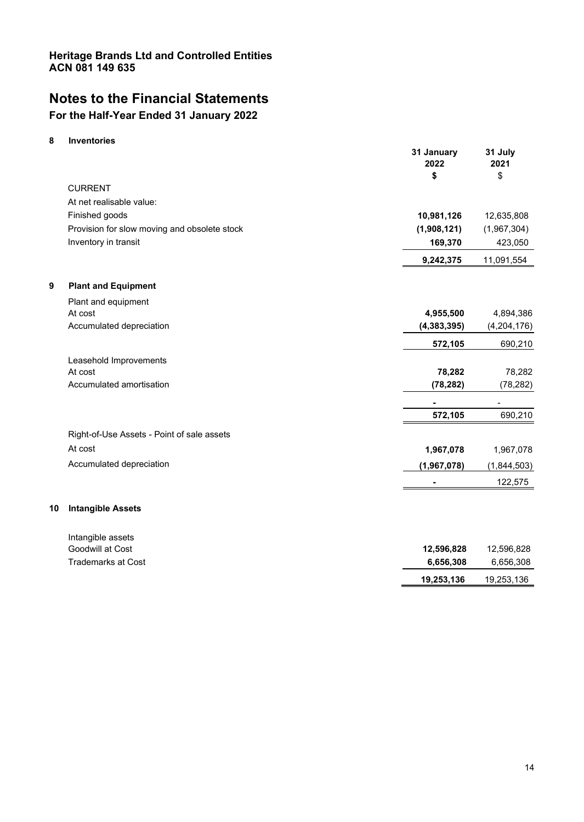# **Notes to the Financial Statements**

# **For the Half-Year Ended 31 January 2022**

### **8 Inventories**

|    |                                              | 31 January<br>2022<br>\$ | 31 July<br>2021<br>\$ |
|----|----------------------------------------------|--------------------------|-----------------------|
|    | <b>CURRENT</b>                               |                          |                       |
|    | At net realisable value:                     |                          |                       |
|    | Finished goods                               | 10,981,126               | 12,635,808            |
|    | Provision for slow moving and obsolete stock | (1,908,121)              | (1,967,304)           |
|    | Inventory in transit                         | 169,370                  | 423,050               |
|    |                                              | 9,242,375                | 11,091,554            |
| 9  | <b>Plant and Equipment</b>                   |                          |                       |
|    | Plant and equipment                          |                          |                       |
|    | At cost                                      | 4,955,500                | 4,894,386             |
|    | Accumulated depreciation                     | (4, 383, 395)            | (4, 204, 176)         |
|    |                                              | 572,105                  | 690,210               |
|    | Leasehold Improvements                       |                          |                       |
|    | At cost                                      | 78,282                   | 78,282                |
|    | Accumulated amortisation                     | (78, 282)                | (78, 282)             |
|    |                                              |                          |                       |
|    |                                              | 572,105                  | 690,210               |
|    | Right-of-Use Assets - Point of sale assets   |                          |                       |
|    | At cost                                      | 1,967,078                | 1,967,078             |
|    | Accumulated depreciation                     | (1,967,078)              | (1,844,503)           |
|    |                                              |                          | 122,575               |
| 10 | <b>Intangible Assets</b>                     |                          |                       |
|    | Intangible assets                            |                          |                       |
|    | Goodwill at Cost                             | 12.596.828               | 12.596.828            |

| πιται ιγινισ αρρστο<br>Goodwill at Cost | 12.596.828 | 12.596.828 |
|-----------------------------------------|------------|------------|
| Trademarks at Cost                      | 6.656.308  | 6.656.308  |
|                                         | 19,253,136 | 19,253,136 |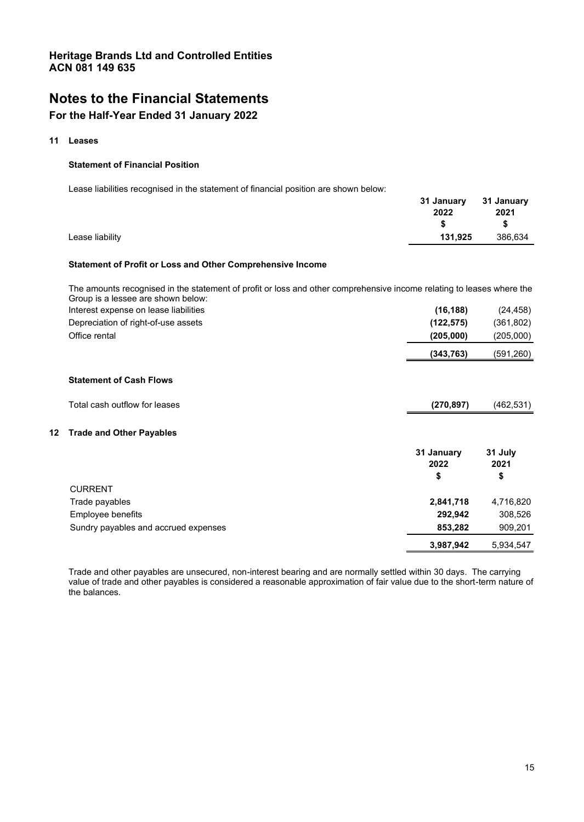# **Notes to the Financial Statements**

### **For the Half-Year Ended 31 January 2022**

#### **11 Leases**

#### **Statement of Financial Position**

Lease liabilities recognised in the statement of financial position are shown below:

|                 | 31 January 31 January |         |
|-----------------|-----------------------|---------|
|                 | 2022                  | 2021    |
|                 |                       |         |
| Lease liability | 131,925               | 386,634 |

### **Statement of Profit or Loss and Other Comprehensive Income**

The amounts recognised in the statement of profit or loss and other comprehensive income relating to leases where the Group is a lessee are shown below:

|    | Interest expense on lease liabilities | (16, 188)  | (24, 458)  |
|----|---------------------------------------|------------|------------|
|    | Depreciation of right-of-use assets   | (122, 575) | (361, 802) |
|    | Office rental                         | (205,000)  | (205,000)  |
|    |                                       | (343, 763) | (591,260)  |
|    | <b>Statement of Cash Flows</b>        |            |            |
|    | Total cash outflow for leases         | (270, 897) | (462, 531) |
| 12 | <b>Trade and Other Payables</b>       |            |            |
|    |                                       | 31 January | 31 July    |
|    |                                       | 2022       | 2021       |
|    |                                       | \$         | \$         |
|    | <b>CURRENT</b>                        |            |            |
|    | Trade payables                        | 2,841,718  | 4,716,820  |
|    | Employee benefits                     | 292,942    | 308,526    |
|    | Sundry payables and accrued expenses  | 853,282    | 909,201    |
|    |                                       | 3,987,942  | 5,934,547  |

Trade and other payables are unsecured, non-interest bearing and are normally settled within 30 days. The carrying value of trade and other payables is considered a reasonable approximation of fair value due to the short-term nature of the balances.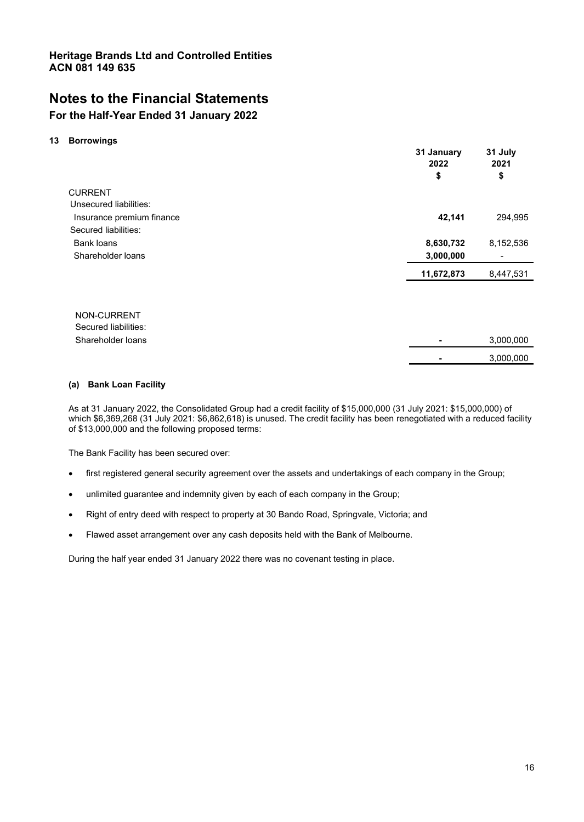# **Notes to the Financial Statements**

### **For the Half-Year Ended 31 January 2022**

#### **13 Borrowings**

|                                     | 31 January<br>2022<br>\$ | 31 July<br>2021<br>\$ |
|-------------------------------------|--------------------------|-----------------------|
| <b>CURRENT</b>                      |                          |                       |
| Unsecured liabilities:              |                          |                       |
| Insurance premium finance           | 42,141                   | 294,995               |
| Secured liabilities:                |                          |                       |
| Bank loans                          | 8,630,732                | 8,152,536             |
| Shareholder loans                   | 3,000,000                |                       |
|                                     | 11,672,873               | 8,447,531             |
|                                     |                          |                       |
| NON-CURRENT<br>Secured liabilities: |                          |                       |
| Shareholder loans                   |                          | 3,000,000             |
|                                     |                          | 3,000,000             |

### **(a) Bank Loan Facility**

As at 31 January 2022, the Consolidated Group had a credit facility of \$15,000,000 (31 July 2021: \$15,000,000) of which \$6,369,268 (31 July 2021: \$6,862,618) is unused. The credit facility has been renegotiated with a reduced facility of \$13,000,000 and the following proposed terms:

The Bank Facility has been secured over:

- first registered general security agreement over the assets and undertakings of each company in the Group;
- unlimited guarantee and indemnity given by each of each company in the Group;
- x Right of entry deed with respect to property at 30 Bando Road, Springvale, Victoria; and
- Flawed asset arrangement over any cash deposits held with the Bank of Melbourne.

During the half year ended 31 January 2022 there was no covenant testing in place.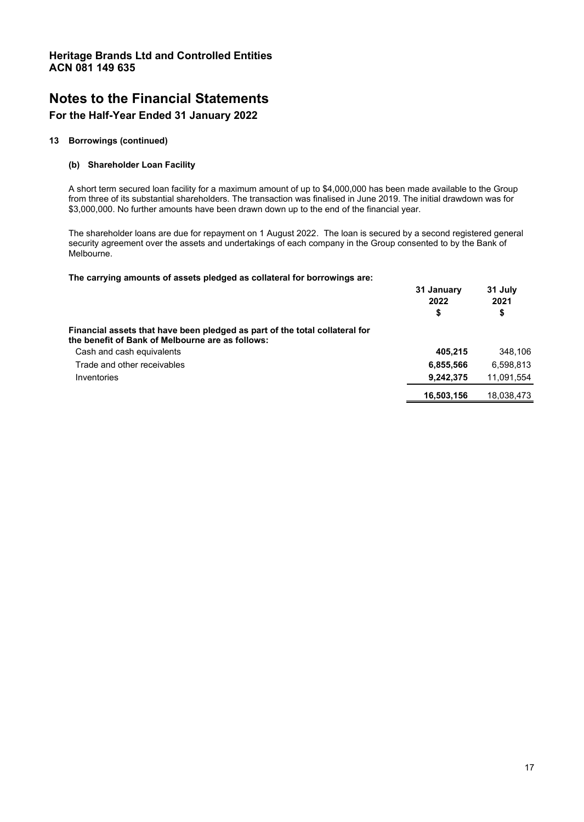# **Notes to the Financial Statements**

### **For the Half-Year Ended 31 January 2022**

### **13 Borrowings (continued)**

### **(b) Shareholder Loan Facility**

A short term secured loan facility for a maximum amount of up to \$4,000,000 has been made available to the Group from three of its substantial shareholders. The transaction was finalised in June 2019. The initial drawdown was for \$3,000,000. No further amounts have been drawn down up to the end of the financial year.

The shareholder loans are due for repayment on 1 August 2022. The loan is secured by a second registered general security agreement over the assets and undertakings of each company in the Group consented to by the Bank of Melbourne.

**The carrying amounts of assets pledged as collateral for borrowings are:** 

|                                                                                                                                 | 31 January<br>2022<br>\$ | 31 July<br>2021<br>\$ |
|---------------------------------------------------------------------------------------------------------------------------------|--------------------------|-----------------------|
| Financial assets that have been pledged as part of the total collateral for<br>the benefit of Bank of Melbourne are as follows: |                          |                       |
| Cash and cash equivalents                                                                                                       | 405.215                  | 348.106               |
| Trade and other receivables                                                                                                     | 6,855,566                | 6.598.813             |
| Inventories                                                                                                                     | 9,242,375                | 11,091,554            |
|                                                                                                                                 | 16,503,156               | 18,038,473            |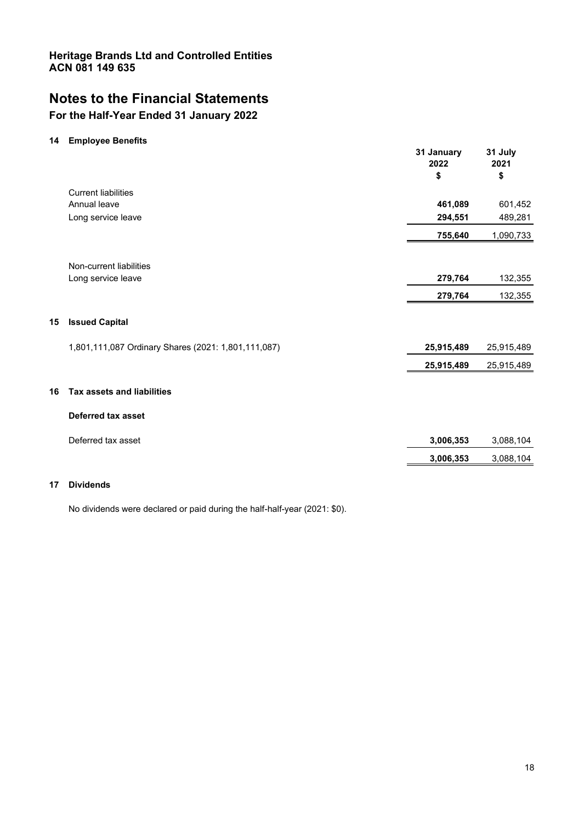# **Notes to the Financial Statements**

# **For the Half-Year Ended 31 January 2022**

### **14 Employee Benefits**

|    |                                                     | 31 January<br>2022<br>\$ | 31 July<br>2021<br>\$ |
|----|-----------------------------------------------------|--------------------------|-----------------------|
|    | <b>Current liabilities</b>                          |                          |                       |
|    | Annual leave                                        | 461,089                  | 601,452               |
|    | Long service leave                                  | 294,551                  | 489,281               |
|    |                                                     | 755,640                  | 1,090,733             |
|    |                                                     |                          |                       |
|    | Non-current liabilities                             |                          |                       |
|    | Long service leave                                  | 279,764                  | 132,355               |
|    |                                                     | 279,764                  | 132,355               |
| 15 | <b>Issued Capital</b>                               |                          |                       |
|    | 1,801,111,087 Ordinary Shares (2021: 1,801,111,087) | 25,915,489               | 25,915,489            |
|    |                                                     | 25,915,489               | 25,915,489            |
| 16 | <b>Tax assets and liabilities</b>                   |                          |                       |
|    | <b>Deferred tax asset</b>                           |                          |                       |
|    | Deferred tax asset                                  | 3,006,353                | 3,088,104             |
|    |                                                     | 3,006,353                | 3,088,104             |
|    |                                                     |                          |                       |

### **17 Dividends**

No dividends were declared or paid during the half-half-year (2021: \$0).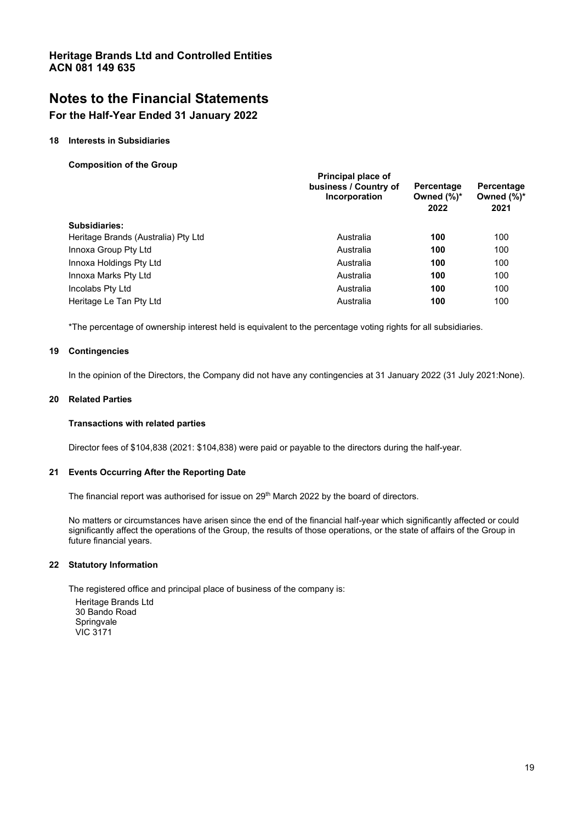# **Notes to the Financial Statements**

### **For the Half-Year Ended 31 January 2022**

### **18 Interests in Subsidiaries**

**Composition of the Group** 

|                                     | Principal place of<br>business / Country of<br>Incorporation | Percentage<br>Owned $(\%)^*$<br>2022 | Percentage<br>Owned $(\%)^*$<br>2021 |
|-------------------------------------|--------------------------------------------------------------|--------------------------------------|--------------------------------------|
| Subsidiaries:                       |                                                              |                                      |                                      |
| Heritage Brands (Australia) Pty Ltd | Australia                                                    | 100                                  | 100                                  |
| Innoxa Group Pty Ltd                | Australia                                                    | 100                                  | 100                                  |
| Innoxa Holdings Pty Ltd             | Australia                                                    | 100                                  | 100                                  |
| Innoxa Marks Pty Ltd                | Australia                                                    | 100                                  | 100                                  |
| Incolabs Pty Ltd                    | Australia                                                    | 100                                  | 100                                  |
| Heritage Le Tan Pty Ltd             | Australia                                                    | 100                                  | 100                                  |

\*The percentage of ownership interest held is equivalent to the percentage voting rights for all subsidiaries.

### **19 Contingencies**

In the opinion of the Directors, the Company did not have any contingencies at 31 January 2022 (31 July 2021:None).

### **20 Related Parties**

#### **Transactions with related parties**

Director fees of \$104,838 (2021: \$104,838) were paid or payable to the directors during the half-year.

#### **21 Events Occurring After the Reporting Date**

The financial report was authorised for issue on  $29<sup>th</sup>$  March 2022 by the board of directors.

No matters or circumstances have arisen since the end of the financial half-year which significantly affected or could significantly affect the operations of the Group, the results of those operations, or the state of affairs of the Group in future financial years.

#### **22 Statutory Information**

The registered office and principal place of business of the company is: Heritage Brands Ltd 30 Bando Road Springvale VIC 3171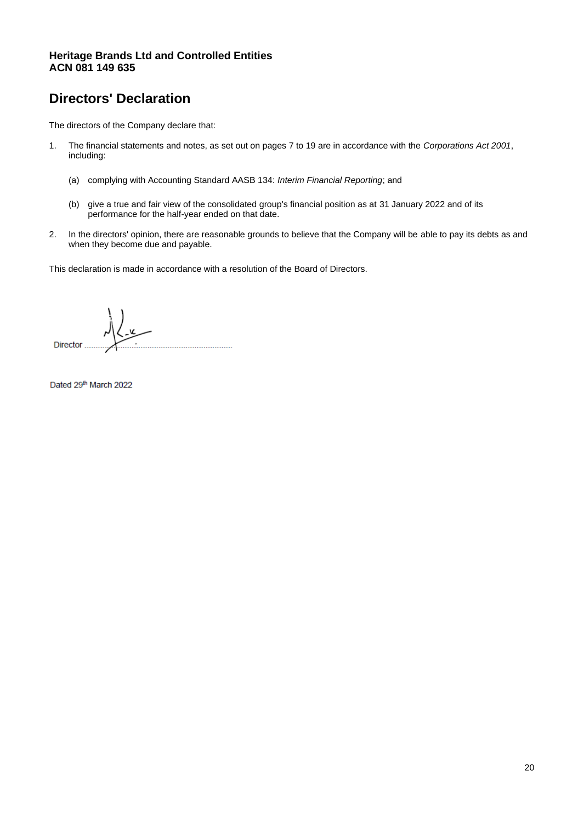# **Directors' Declaration**

The directors of the Company declare that:

- 1. The financial statements and notes, as set out on pages 7 to 19 are in accordance with the *Corporations Act 2001*, including:
	- (a) complying with Accounting Standard AASB 134: *Interim Financial Reporting*; and
	- (b) give a true and fair view of the consolidated group's financial position as at 31 January 2022 and of its performance for the half-year ended on that date.
- 2. In the directors' opinion, there are reasonable grounds to believe that the Company will be able to pay its debts as and when they become due and payable.

This declaration is made in accordance with a resolution of the Board of Directors.

ے کے **Director** ..........................

Dated 29th March 2022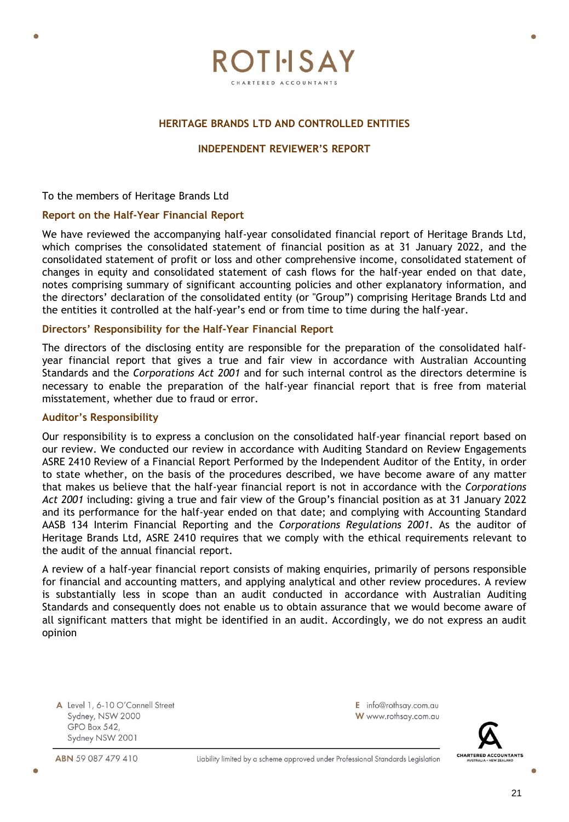

ROTHSAY HARTERED ACCOUNTANT

### **INDEPENDENT REVIEWER'S REPORT**

To the members of Heritage Brands Ltd

### **Report on the Half-Year Financial Report**

We have reviewed the accompanying half-year consolidated financial report of Heritage Brands Ltd, which comprises the consolidated statement of financial position as at 31 January 2022, and the consolidated statement of profit or loss and other comprehensive income, consolidated statement of changes in equity and consolidated statement of cash flows for the half-year ended on that date, notes comprising summary of significant accounting policies and other explanatory information, and the directors' declaration of the consolidated entity (or "Group") comprising Heritage Brands Ltd and the entities it controlled at the half-year's end or from time to time during the half-year.

### **Directors' Responsibility for the Half-Year Financial Report**

The directors of the disclosing entity are responsible for the preparation of the consolidated halfyear financial report that gives a true and fair view in accordance with Australian Accounting Standards and the *Corporations Act 2001* and for such internal control as the directors determine is necessary to enable the preparation of the half-year financial report that is free from material misstatement, whether due to fraud or error.

### **Auditor's Responsibility**

Our responsibility is to express a conclusion on the consolidated half-year financial report based on our review. We conducted our review in accordance with Auditing Standard on Review Engagements ASRE 2410 Review of a Financial Report Performed by the Independent Auditor of the Entity, in order to state whether, on the basis of the procedures described, we have become aware of any matter that makes us believe that the half-year financial report is not in accordance with the *Corporations Act 2001* including: giving a true and fair view of the Group's financial position as at 31 January 2022 and its performance for the half-year ended on that date; and complying with Accounting Standard AASB 134 Interim Financial Reporting and the *Corporations Regulations 2001*. As the auditor of Heritage Brands Ltd, ASRE 2410 requires that we comply with the ethical requirements relevant to the audit of the annual financial report.

A review of a half-year financial report consists of making enquiries, primarily of persons responsible for financial and accounting matters, and applying analytical and other review procedures. A review is substantially less in scope than an audit conducted in accordance with Australian Auditing Standards and consequently does not enable us to obtain assurance that we would become aware of all significant matters that might be identified in an audit. Accordingly, we do not express an audit opinion

A Level 1, 6-10 O'Connell Street Sydney, NSW 2000 GPO Box 542, Sydney NSW 2001

ABN 59 087 479 410



E info@rothsay.com.au

W www.rothsay.com.au